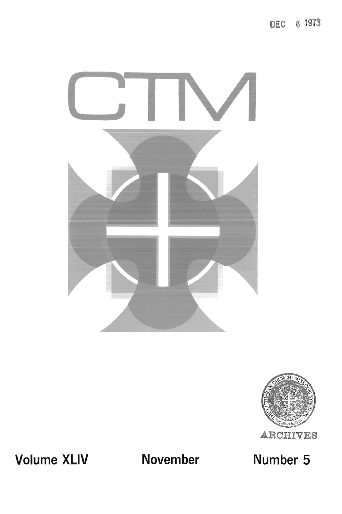DEC 6 1973





**Volume XLIV November** 

**Number 5**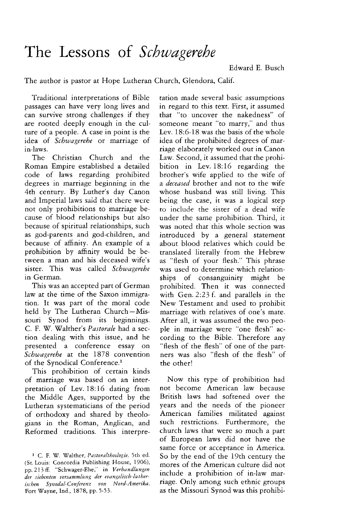## **The Lessons of** *Schwagerehe*

Edward E. Busch

The author is pastor at Hope Lutheran Church, Glendora, Calif.

Traditional interpretations of Bible passages can have very long lives and can survive strong challenges if they are rooted deeply enough in the culture of a people. A case in point is the idea of *Schwagerehe* or marriage of in-laws.

The Christian Church and the Roman Empire established a detailed code of laws regarding prohibited degrees in marriage beginning in the 4th century. By Luther's day Canon and Imperial laws said that there were not only prohibitions to marriage because of blood relationships but also because of spiritual relationships, such as god-parents and god-children, and because of affinity. An example of a prohibition by affinity would be between a man and his deceased wife's sister. This was called *Schwagerehe*  in German.

This was an accepted part of German law at the time of the Saxon immigration. It was part of the moral code held by The Lutheran Church-Missouri Synod from its beginnings. C. F. W. Walther's *Pastorale* had a section dealing with this issue, and he presented a conference essay on *Schwagerehe* at the 1878 convention of the Synodical Conference.<sup>1</sup>

This prohibition of certain kinds of marriage was based on an interpretation of Lev. 18:16 dating from the Middle Ages, supported by the Lutheran systematicians of the period of orthodoxy and shared by theologians in the Roman, Anglican, and Reformed traditions. This interpre-

tation made several basic assumptions in regard to this text. First, it assumed that "to uncover the nakedness" of someone meant "to marry," and thus Lev. 18:6-18 was the basis of the whole idea of the prohibited degrees of marriage elaborately worked out in Canon Law. Second, it assumed that the prohibition in Lev. 18:16 regarding the brother's wife applied to the wife of a *deceased* brother and not to the wife whose husband was still living. This being the case, it was a logical step to include the sister of a dead wife under the same prohibition. Third, it was noted that this whole section was introduced by a general statement about blood relatives which could be translated literally from the Hebrew as "flesh of your flesh." This phrase was used to determine which relationships of consanguinity might be prohibited. Then it was connected with Gen. 2:23 f. and parallels in the New Testament and used to prohibit marriage with relatives of one's mate. After all, it was assumed the two people in marriage were "one flesh" according to the Bible. Therefore any "flesh of the flesh" of one of the partners was also "flesh of the flesh" of the other!

Now this type of prohibition had not become American law because British laws had softened over the years and the needs of the pioneer American families militated against such restrictions. Furthermore, the church laws that were so much a part of European laws did not have the same force or acceptance in America. So by the end of the 19th century the mores of the American culture did not include a prohibition of in-law marriage. Only among such ethnic groups as the Missouri Synod was this prohibi-

<sup>1</sup> C. F. W. Walther, *Pastoraltheologie,* 5th ed. (St. Louis: Concordia Publishing House, 1906), pp. 213 ff. "Schwager-Ehe," in Verhandlungen der siebenten versammlung der evangelisch-luther*ischen Synodal-Con/erenz von Nord-Amerika,*  Fort Wayne, Ind., 1878, pp. 5-53.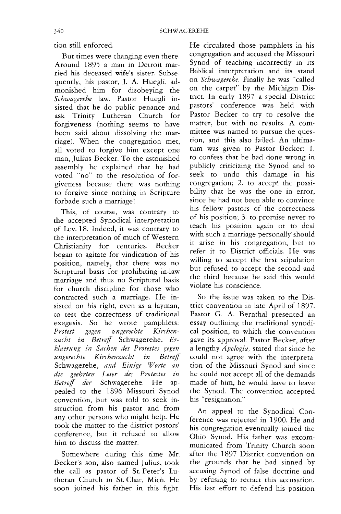tion still enforced.

But times were changing even there. Around 1895 a man in Detroit married his deceased wife's sister. Subsequently, his pastor, J. A. Huegli, admonished him for disobeying the *Schwagerehe* law. Pastor Huegli insisted that he do public penance and ask Trinity Lutheran Church for forgiveness (nothing seems to have been said about dissolving the marriage). When the congregation met, all voted to forgive him except one man, Julius Becker. To the astonished assembly he explained that he had voted "no" to the resolution of forgiveness because there was nothing to forgive since nothing in Scripture forbade such a marriage!

This, of course, was contrary to the accepted Synodical interpretation of Lev. 18. Indeed, it was contrary to the interpretation of much of Western Christianity for centuries. Becker began to agitate for vindication of his position, namely, that there was no Scriptural basis for prohibiting in-law marriage and thus no Scriptural basis for church discipline for those who contracted such a marriage. He insisted on his right, even as a layman, to test the correctness of traditional exegesis. So he wrote pamphlets: Protest gegen ungerechte Kirchen*zztcht in Betrell* Schwagerehe, *Erklaerung in Sachen des Protestes gegen*   $unverechte$  Kirchenzucht in Betreff Schwagerehe, *and Einige Worte an die geehrten Leser des Pro testes* In *BetrejJ der* Schwagerehe. He appealed to the 1896 Missouri Synod convention, but was told to seek instruction from his pastor and from any other persons who might help. He took the matter to the district pastors' conference, but it refused to allow him to discuss the matter.

Somewhere during this time Mr. Becker's son, also named Julius, took the call as pastor of St. Peter's Lutheran Church in St. Clair, Mich. He soon joined his father in this fight.

He circulated those pamphlets in his congregation and accused the Missouri Synod of teaching incorrectly in its Biblical interpretation and its stand on *Schwagerehe.* Finally he was "called on the carpet" by the Michigan District. In early 1897 a special District pastors' conference was held with Pastor Becker to try to resolve the matter, but with no results. A committee was named to pursue the question, and this also failed. An ultimatum was given to Pastor Becker: 1. to confess that he had done wrong in publicly criticizing the Synod and to seek to undo this damage in his congregation; 2. to accept the possibility that he was the one in error, since he had not been able to convince his fellow pastors of the correctness of his position; 3. to promise never to teach his position again or to deal with such a marriage personally should it arise in his congregation, but to refer it to District officials. He was willing to accept the first stipulation but refused to accept the second and the third because he said this would violate his conscience.

So the issue was taken to the District convention in late April of 1897. Pastor G. A. Bernthal presented an essay outlining the traditional synodical position, to which the convention gave its approval. Pastor Becker, after a lengthy *Apologia,* stated that since he could not agree with the interpretation of the Missouri Synod and since he could not accept all of the demands made of him, he would have to leave the Synod. The convention accepted his "resignation."

An appeal to the Synodical Conference was rejected in 1900. He and his congregation eventually joined the Ohio Synod. His father was excommunicated from Trinity Church soon after the 1897 District convention on the grounds that he had sinned by accusing Synod of false doctrine and by refusing to retract this accusation. His last effort to defend his position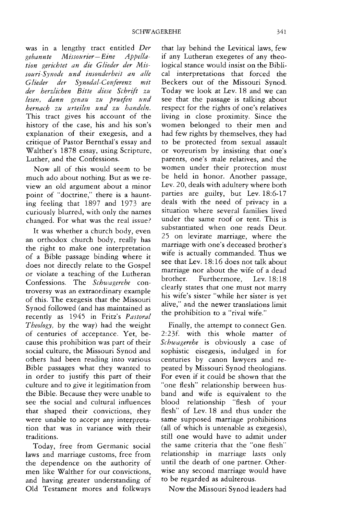was in a lengthy tract entitled *Der gebannte Missourier- Eine Appellation gerichtet an die Clieder der Missouri-Synode und insonderheit an aile Clieder der Synodal-ConJerenz mit der herzlichen Bitte diese Schrift zu lesen. dann genau zu pruefen und hernach zu urteilen tlnd ZtI handeln.*  This tract gives his account of the history of the case, his and his son's explanation of their exegesis, and a critique of Pastor Bernthal's essay and Walther's 1878 essay, using Scripture, Luther, and the Confessions.

Now all of this would seem to be much ado about nothing. But as we review an old argument about a minor point of "doctrine," there is a haunting feeling that 1897 and 1973 are curiously blurred, with only the names changed. For what was the real issue?

It was whether a church body, even an orthodox church body, really has the right to make one interpretation of a Bible passage binding where it does not directly relate to the Gospel or violate a teaching of the Lutheran Confessions. The *Schwagerehe* controversy was an extraordinary example of this. The exegesis that the Missouri Synod followed (and has maintained as recently as 1945 in Fritz's *Pastoral Theology,* by the way) had the weight of centuries of acceptance. Yet, because this prohibition was part of their social culture, the Missouri Synod and others had been reading into various Bible passages what they wanted to in order to justify this part of their culture and to give it legitimation from the Bible. Because they were unable to see the social and cultural influences that shaped their convictions, they were unable to accept any interpretation that was in variance with their traditions.

Today, free from Germanic social laws and marriage customs, free from the dependence on the authority of men like Walther for our convictions, and having greater understanding of Old Testament mores and folkways that lay behind the Levitical laws, few if any Lutheran exegetes of any theological stance would insist on the Biblical interpretations that forced the Beckers out of the Missouri Synod. Today we look at Lev. 18 and we can see that the passage is talking about respect for the rights of one's relatives living in close proximity. Since the women belonged to their men and had few rights by themselves, they had to be protected from sexual assault or voyeurism by insisting that one's parents, one's male relatives, and the women under their protection must be held in honor. Another passage, Lev. 20, deals with adultery where both parties are guilty, but Lev. 18:6-17 deals with the need of privacy in a situation where several families lived under the same roof or tent. This is substantiated when one reads Deut. 25 on levirate marriage, where the marriage with one's deceased brother's wife is actually commanded. Thus we see that Lev. 18: 16 does not talk about marriage nor about the wife of a dead brother. Furthermore, Lev. 18:18 clearly states that one must not marry his wife's sister "while her sister is yet alive," and the newer translations limit the prohibition to a "rival wife."

Finally, the attempt to connect Gen. 2:23f. with this whole matter of *Schwagerehe* is obviously a case of sophistic eisegesis, indulged in for centuries by canon lawyers and repeated by Missouri Synod theologians. For even if it could be shown that the "one flesh" relationship between husband and wife is equivalent to the blood relationship "flesh of your flesh" of Lev. 18 and thus under the same supposed marriage prohibitions (all of which is untenable as exegesis), still one would have to admit under the same criteria that the "one flesh" relationship in marriage lasts only until the death of one partner. Otherwise any second marriage would have to be regarded as adulterous.

Now the Missouri Synod leaders had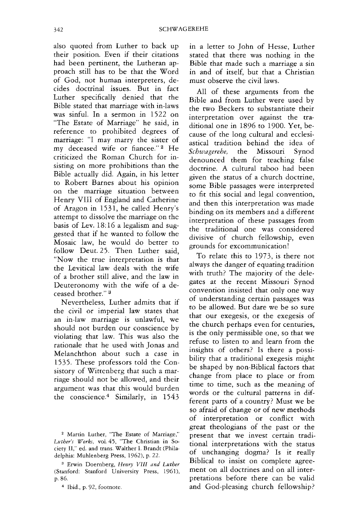also quoted from Luther to back up their position. Even if their citations had been pertinent, the Lutheran approach still has to be that the Word of God, not human interpreters, decides doctrinal issues. But in fact Luther specifically denied that the Bible stated that marriage with in-laws was sinful. In a sermon in 1522 on "The Estate of Marriage" he said, in reference to prohibited degrees of marriage: "I may marry the sister of my deceased wife or fiancee." 2 He criticized the Roman Church for insisting on more prohibitions than the Bible actually did. Again, in his letter to Robert Barnes about his opinion on the marriage situation between Henry VIII of England and Catherine of Aragon in 1531, he called Henry's attempt to dissolve the marriage on the basis of Lev. 18: 16 a legalism and suggested that if he wanted to follow the Mosaic law, he would do better to follow Deut.25. Then Luther said, "Now the true interpretation is that the Levitical law deals with the wife of a brother still alive, and the law in Deuteronomy with the wife of a deceased brother." 3

Nevertheless, Luther admits that if the civil or imperial law states that an in-law marriage is unlawful, we should not burden our conscience by violating that law. This was also the rationale that he used with Jonas and Melanchthon about such a case in 1535. These professors told the Consistory of Wittenberg that such a marriage should not be allowed, and their argument was that this would burden the conscience.4 Similarly, in 1543

2 Marrin Luther, "The Estate of Marriage," *Luther's Works,* voL 45, 'The Christian in Society II," ed. and trans. Walther L Brandt (Philadelphia: Muhlenberg Press, 1962), p. 22.

3 Erwin Doernberg, *Henry VIII and Luther*  (Stanford: Stanford University Press, 1961), p.86.

4 Ibid., p. 92, footnote.

in a letter to John of Hesse, Luther stated that there was nothing in the Bible that made such a marriage a sin in and of itself, but that a Christian must observe the civil laws.

All of these arguments from the Bible and from Luther were used by the two Beckers to substantiate their interpretation over against the traditional one in 1896 to 1900. Yet, because of the long cultural and ecclesiastical tradition behind the idea of *Schwagerehe,* the Missouri Synod denounced them for teaching false doctrine. A cultural taboo had been given the status of a church doctrine, some Bible passages were interpreted to fit this social and legal convention, and then this interpretation was made binding on its members and a differem interpretation of these passages from the traditional one was considered divisive of church fellowship, even grounds for excommunication!

To relate this to 1973, is there not always the danger of equating tradition with truth? The majority of the delegates at the recent Missouri Synod convention insisted that only one way of understanding certain passages was to be allowed. But dare we be so sure that our exegesis, or the exegesis of the church perhaps even for centuries, is the only permissible one, so that we refuse to listen to and learn from the insights of others? Is there a possibility that a traditional exegesis might be shaped by non-Biblical factors that change from place to place or from time to time, such as the meaning of words or the cultural patterns in different parts of a country? Must we be so afraid of change or of new methods of interpretation or conflict with great theologians of the past or the present that we invest certain traditional interpretations with the status of unchanging dogma? Is it really Biblical to insist on complete agreement on all doctrines and on all interpretations before there can be valid and God-pleasing church fellowship?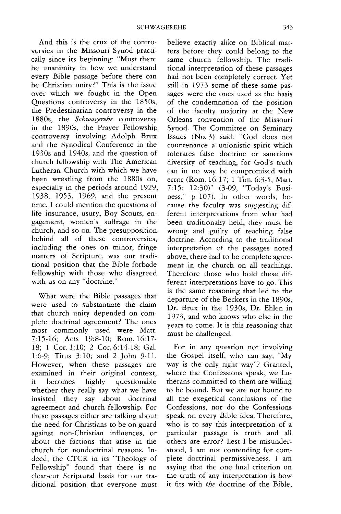And this is the crux of the controversies in the Missouri Synod practically since its beginning: "Must there be unanimity in how we understand every Bible passage before there can be Christian unity?" This is the issue over which we fought in the Open Questions controversy in the 18505, the Predestinarian controversy in the 1880s, the *Schwagerehe* controversy in the 1890s, the Prayer Fellowship controversy involving Adolph Brux and the Synodical Conference in the 19305 and 1940s, and the question of church fellowship with The American Lutheran Church with which we have been wrestling from the 1880s on, especially in the periods around 1929, 1938, 1953, 1969, and the present time. I could mention the questions of life insurance, usury, Boy Scouts, engagement, women's suffrage in the church, and so on. The presupposition behind all of these controversies, including the ones on minor, fringe matters of Scripture, was our traditional position that the Bible forbade fellowship with those who disagreed with us on any "doctrine."

What were the Bible passages that were used to substantiate the claim that church unity depended on complete doctrinal agreement? The ones most commonly used were Matt. 7:15-16; Acts 19:8-lO; Rom. 16:17- 18; 1 Cor. 1:10; 2 Cor. 6:14-18; Gal. 1:6-9; Titus 3:10; and 2 John 9-11- However, when these passages are examined in their original context, it becomes highly questionable whether they really say what we have insisted they say about doctrinal agreement and church fellowship. For these passages either are talking about the need for Christians to be on guard against non-Christian influences, or about the factions that arise in the church for nondoctrinal reasons. Indeed, the CTCR in its "Theology of Fellowship" found that there is no clear-cut Scriptural basis for our traditional position that everyone must believe exactly alike on Biblical matters before they could belong to the same church fellowship. The traditional interpretation of these passages had not been completely correct. Yet still in 1973 some of these same passages were the ones used as the basis of the condemnation of the position of the faculty majority at the New Orleans convention of the Missouri Synod. The Committee on Seminary Issues (No.3) said: "God does not countenance a unionistic spirit which tolerates false doctrine or sanctions diversity of teaching, for God's truth can in no way be compromised with error (Rom. 16:17; 1 Tim. 6:3-5; Matt. 7:15; 12:30)" (3-09, "Today's Business," p. 107). In other words, because the faculty was suggesting different interpretations from what had been traditionally held, they must be wrong and guilty of teaching false doctrine. According to the traditional interpretation of the passages noted above, there had to be complete agreement in the church on all teachings. Therefore those who hold these different interpretations have to go. This is the same reasoning that led to the departure of the Beckers in the 1890s, Dr. Brux in the 1930s, Dr. Ehlen in 1973, and who knows who else in the years to come. It is this reasoning that must be challenged.

For in any question not involving the Gospel itself, who can say, "My way is the only right way"? Granted, where the Confessions speak, we Lutherans committed to them are willing to be bound. But we are not bound to all the exegetical conclusions of the Confessions, nor do the Confessions speak on every Bible idea. Therefore, who is to say this interpretation of a particular passage is truth and all others are error? Lest I be misunderstood, I am not contending for complete doctrinal permissiveness. I am saying that the one final criterion on the truth of any interpretation is how it fits with *the* doctrine of the Bible,